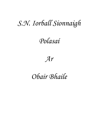# *S.N. Iorball Sionnaigh*

## *Polasaí*



### *Obair Bhaile*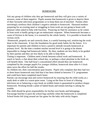#### HOMEWORK

Ask any group of children why they get homework and they will give you a variety of answers, some of them negative. Pupils assume that homework is given to deprive them of their favourite television programmes or to keep them out of mischief. Parents often unwittingly reinforce their children's negative attitude to homework. Harassed mothers preparing for an evening meal or struggling in from work are not going to beam with pleasure when asked to help with fractions. Pouncing on Dad for assistance as he comes in from work is hardly going to get an enthusiastic response. When homework becomes a cause of friction in the home, it is resented by the whole family. It is possible to break this vicious circle.

Homework, properly set and correctly done, is a useful learning tool, reinforcing the work done in the classroom. It lays the foundation for good study habits for the future. It is important for parents and children to have a positive attitude towards homework at primary level. By the time a student reaches second level it is going to be almost impossible to change bad homework habits. By then, students are less likely to be guided by their parents and they are less likely to be able to help them.

Timing is important. Children need a break between school work and homework. A snack or lunch, a chat about their school day, or perhaps a short playtime in the fresh air, will benefit them. One half-hour's concentrated effort should then see homework completed by the younger pupils.For younger children, homework done after 6 o'clock takes twice the effort for half the results.

As children tire, their concentration span lessens. Pupils who complain that they had two or three hours homework may find that it has been slotted in between T.V. programmes and could have been completed much faster.

Parents can encourage neat and correct homework by ensuring that the child works at a study desk or table in a warm quiet room. Lying on the floor in front of a blaring television set or balancing a copy-book on wobbly knees is guaranteed to produce sloppy homework. Working beside a plate of baked beans and tomato ketchup is asking for trouble.

The child should be given responsibility for his/her own books and belongings. Encourage him/her to pack the school bag carefully when the homework is completed. School books left lying around are fair game for the baby with sticky fingers.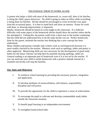### ENCOURAGE THEM TO WORK ALONE

A parent who helps a child with most of the homework, or, worse still, does it for him/her, is doing the child a grave disservice. No child is going to make an effort while everything is being done for him/her. He/she should be encouraged to work on his/her own apart from the occasional query. It is best to stand back and show an interest. Praise for work well done, or showing improvement, is important.

Ideally, homework should be based on work taught in the classroom. If a child has difficulty with some aspect of the homework she/he should show the teacher where she/he has attempted it. Failing this, the parent could write a short note to the teacher explaining that the child did not understand how to do the tasks he/she was set. Perfect homework, done by the parent, misleads the teacher into thinking that a new concept has been understood.

Many children and parents consider only written work as real homework because it is more readily checked by the teacher. Memory work such as spellings, tables and poetry is often neglected. Memorising skills are very necessary for the development of good study habits for the future. Parents can help here by patiently hearing spellings, tables etc. General reading is an important part of homework even if it is not set by the teacher. If you can motivate your child to tackle homework with a positive attitude instead of a resentful one he/she will reap the benefits.

#### **Our Aims and Objectives**

- I. To reinforce school learning by providing the necessary practice, integration and application.
- II. To develop attributes of resourcefulness, self-reliance, responsibility, discipline and will power.
- III. To provide the opportunity for the child to experience a sense of achievement.
- IV. To encourage the pupil to cultivate and develop commendable study habits outside the classroom situation.
- V. To benefit pupil learning in an independent environment.
- VI. To strengthen home/school links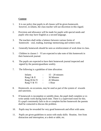#### **Content**

- 1. It is our policy that pupils in all classes will be given homework, however, in infants, the class teacher will use discretion in this regard.
- 2. Provision and allowance will be made for pupils with special needs and pupils who may have English as a second language.
- 3. The teachers shall strike a balance between various forms of homework – oral, reading, learning/ memorising and written work.
- 4. Generally homework should be seen as reinforcement of work done in class.
- 5. Children in classes  $I VI$  are expected to take note of this homework in their homework journal.
- 6. The pupils are expected to have their homework journal inspected and signed by the parents/guardians weekly.
- 7. The following is a guideline of time allocation:

| Infants       |           | $15 - 20$ minutes |
|---------------|-----------|-------------------|
| Rang I & II   | $\bullet$ | 30 Minutes        |
| Rang III & IV | $\bullet$ | 45 Minutes        |
| Rang V & VI   | $\bullet$ | 1 Hour            |

- 8. Homework, on occasions, may be used as part of the system of rewards and sanctions.
- 9. If homework is incomplete or untidily done, the pupil shall complete or re write untidy work during lunch time. There is a supervised room for this. If a pupil consistently fails to do or complete his/her homework the parents shall be contacted to discuss the problem.
- 10. Pupils may be rewarded for very good homework and effort with same.
- 11. Pupils are given guidelines to assist with study skills: Routine, free from distraction and interruption, at a desk or table, etc.